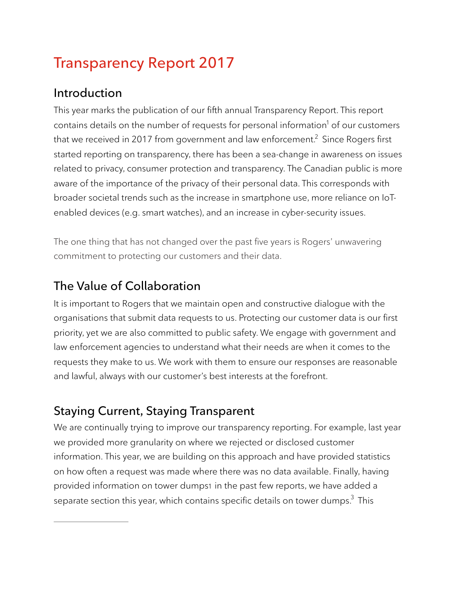# **Transparency Report 2017**

## **Introduction**

This year marks the publication of our fifth annual Transparency Report. This report contains details on the number of requests for personal information<sup>1</sup> of our customers that we received in 2017 from government and law enforcement. $^2$  Since Rogers first started reporting on transparency, there has been a sea-change in awareness on issues related to privacy, consumer protection and transparency. The Canadian public is more aware of the importance of the privacy of their personal data. This corresponds with broader societal trends such as the increase in smartphone use, more reliance on IoTenabled devices (e.g. smart watches), and an increase in cyber-security issues.

The one thing that has not changed over the past five years is Rogers' unwavering commitment to protecting our customers and their data.

## **The Value of Collaboration**

It is important to Rogers that we maintain open and constructive dialogue with the organisations that submit data requests to us. Protecting our customer data is our first priority, yet we are also committed to public safety. We engage with government and law enforcement agencies to understand what their needs are when it comes to the requests they make to us. We work with them to ensure our responses are reasonable and lawful, always with our customer's best interests at the forefront.

## **Staying Current, Staying Transparent**

We are continually trying to improve our transparency reporting. For example, last year we provided more granularity on where we rejected or disclosed customer information. This year, we are building on this approach and have provided statistics on how often a request was made where there was no data available. Finally, having provided information on tower dumps1 in the past few reports, we have added a separate section this year, which contains specific details on tower dumps. $^3$  This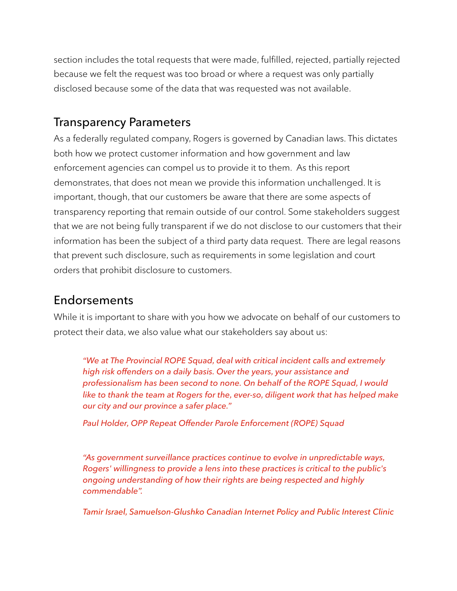section includes the total requests that were made, fulfilled, rejected, partially rejected because we felt the request was too broad or where a request was only partially disclosed because some of the data that was requested was not available.

### **Transparency Parameters**

As a federally regulated company, Rogers is governed by Canadian laws. This dictates both how we protect customer information and how government and law enforcement agencies can compel us to provide it to them. As this report demonstrates, that does not mean we provide this information unchallenged. It is important, though, that our customers be aware that there are some aspects of transparency reporting that remain outside of our control. Some stakeholders suggest that we are not being fully transparent if we do not disclose to our customers that their information has been the subject of a third party data request. There are legal reasons that prevent such disclosure, such as requirements in some legislation and court orders that prohibit disclosure to customers.

### **Endorsements**

While it is important to share with you how we advocate on behalf of our customers to protect their data, we also value what our stakeholders say about us:

*"We at The Provincial ROPE Squad, deal with critical incident calls and extremely high risk offenders on a daily basis. Over the years, your assistance and professionalism has been second to none. On behalf of the ROPE Squad, I would like to thank the team at Rogers for the, ever-so, diligent work that has helped make our city and our province a safer place."* 

*Paul Holder, OPP Repeat Offender Parole Enforcement (ROPE) Squad* 

*"As government surveillance practices continue to evolve in unpredictable ways, Rogers' willingness to provide a lens into these practices is critical to the public's ongoing understanding of how their rights are being respected and highly commendable".* 

*Tamir Israel, Samuelson-Glushko Canadian Internet Policy and Public Interest Clinic*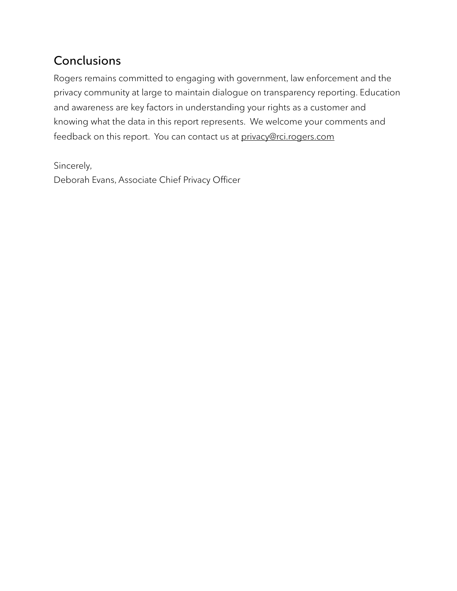## **Conclusions**

Rogers remains committed to engaging with government, law enforcement and the privacy community at large to maintain dialogue on transparency reporting. Education and awareness are key factors in understanding your rights as a customer and knowing what the data in this report represents. We welcome your comments and feedback on this report. You can contact us at [privacy@rci.rogers.com](mailto:privacy@rci.rogers.com)

Sincerely,

Deborah Evans, Associate Chief Privacy Officer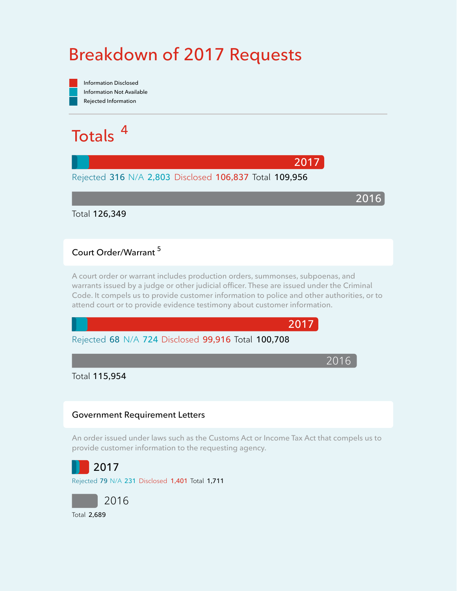# **Breakdown of 2017 Requests**



### **<sup>5</sup> Court Order/Warrant**

**A court order or warrant includes production orders, summonses, subpoenas, and warrants issued by a judge or other judicial officer. These are issued under the Criminal Code. It compels us to provide customer information to police and other authorities, or to attend court or to provide evidence testimony about customer information.** 

**2017**

**2017**

2016

**2016**



Total **115,954**

#### **Government Requirement Letters**

**An order issued under laws such as the Customs Act or Income Tax Act that compels us to provide customer information to the requesting agency.** 

**2017**

Rejected **79** N/A **231** Disclosed **1,401** Total **1,711**

2016 Total **2,689**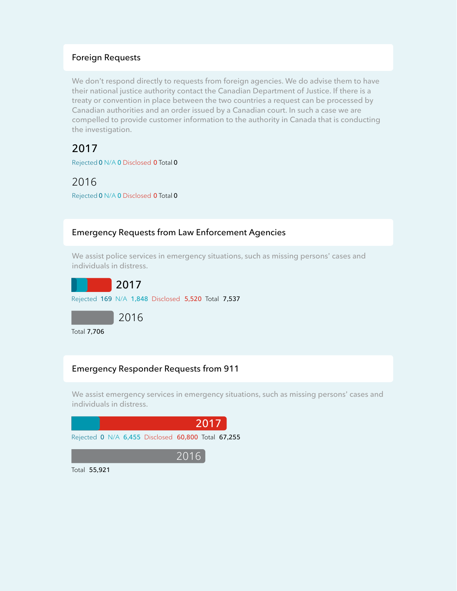#### **Foreign Requests**

**We don't respond directly to requests from foreign agencies. We do advise them to have their national justice authority contact the Canadian Department of Justice. If there is a treaty or convention in place between the two countries a request can be processed by Canadian authorities and an order issued by a Canadian court. In such a case we are compelled to provide customer information to the authority in Canada that is conducting the investigation.** 

**2017**

Rejected **0** N/A **0** Disclosed **0** Total **0**

2016

Rejected **0** N/A **0** Disclosed **0** Total **0**

#### **Emergency Requests from Law Enforcement Agencies**

**We assist police services in emergency situations, such as missing persons' cases and individuals in distress.**

**2017** Rejected **169** N/A **1,848** Disclosed **5,520** Total **7,537**



Total **7,706**

### **Emergency Responder Requests from 911**

**We assist emergency services in emergency situations, such as missing persons' cases and individuals in distress.**



Total **55,921**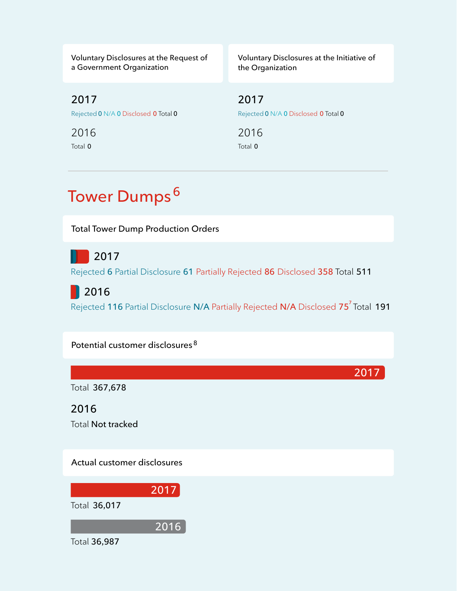**Voluntary Disclosures at the Request of a Government Organization**

**Voluntary Disclosures at the Initiative of the Organization**

**2017** Rejected **0** N/A **0** Disclosed **0** Total **0**

Total **0** 2016 **2017** Rejected **0** N/A **0** Disclosed **0** Total **0**

Total **0** 2016

# **Tower Dumps<sup>6</sup>**

**Total Tower Dump Production Orders**

**2017**

Rejected **6** Partial Disclosure **61** Partially Rejected **86** Disclosed **358** Total **511**

**2016**

**7** Total **191** Rejected **116** Partial Disclosure **N/A** Partially Rejected **N/A** Disclosed **75**

**Potential customer disclosures <sup>8</sup>**

Total **367,678**

Total **Not tracked 2016**

**Actual customer disclosures** 



**2017**